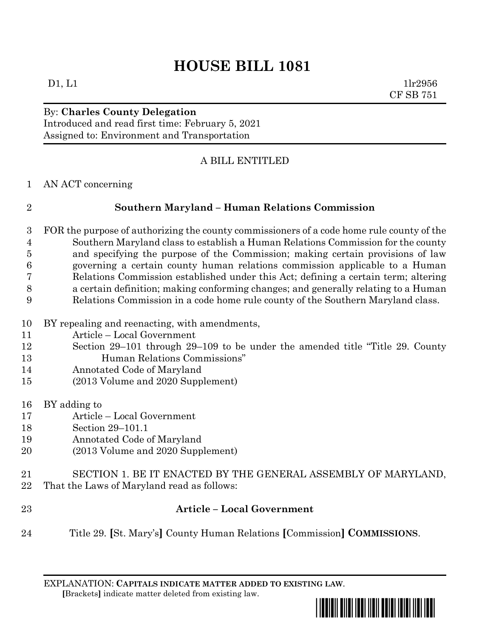# **HOUSE BILL 1081**

 $D1, L1$   $1\text{l}r2956$ CF SB 751

# By: **Charles County Delegation**

Introduced and read first time: February 5, 2021 Assigned to: Environment and Transportation

## A BILL ENTITLED

AN ACT concerning

## **Southern Maryland – Human Relations Commission**

- FOR the purpose of authorizing the county commissioners of a code home rule county of the Southern Maryland class to establish a Human Relations Commission for the county and specifying the purpose of the Commission; making certain provisions of law governing a certain county human relations commission applicable to a Human Relations Commission established under this Act; defining a certain term; altering a certain definition; making conforming changes; and generally relating to a Human Relations Commission in a code home rule county of the Southern Maryland class.
- BY repealing and reenacting, with amendments,
- Article Local Government
- Section 29–101 through 29–109 to be under the amended title "Title 29. County Human Relations Commissions"
- Annotated Code of Maryland
- (2013 Volume and 2020 Supplement)
- BY adding to
- Article Local Government
- Section 29–101.1
- Annotated Code of Maryland
- (2013 Volume and 2020 Supplement)
- SECTION 1. BE IT ENACTED BY THE GENERAL ASSEMBLY OF MARYLAND,
- That the Laws of Maryland read as follows:
- **Article – Local Government**
- Title 29. **[**St. Mary's**]** County Human Relations **[**Commission**] COMMISSIONS**.

EXPLANATION: **CAPITALS INDICATE MATTER ADDED TO EXISTING LAW**.  **[**Brackets**]** indicate matter deleted from existing law.

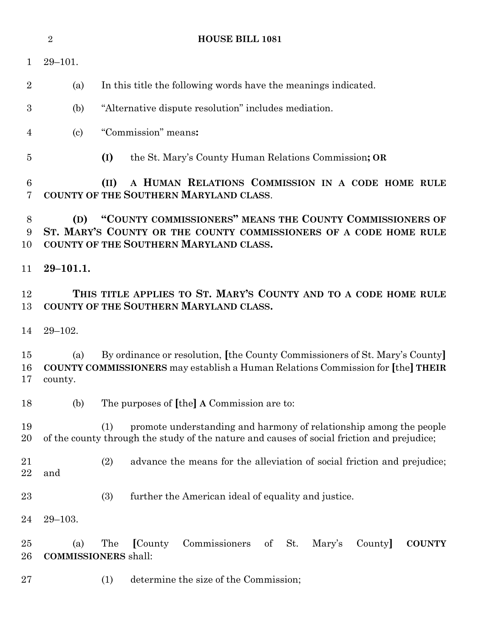|                | $\overline{2}$                                                                                                                                                                   | <b>HOUSE BILL 1081</b>                                                                                                                                                  |  |
|----------------|----------------------------------------------------------------------------------------------------------------------------------------------------------------------------------|-------------------------------------------------------------------------------------------------------------------------------------------------------------------------|--|
| $\mathbf 1$    | $29 - 101.$                                                                                                                                                                      |                                                                                                                                                                         |  |
| $\overline{2}$ | (a)                                                                                                                                                                              | In this title the following words have the meanings indicated.                                                                                                          |  |
| 3              | (b)                                                                                                                                                                              | "Alternative dispute resolution" includes mediation.                                                                                                                    |  |
| 4              | $\left( \mathrm{c}\right)$                                                                                                                                                       | "Commission" means:                                                                                                                                                     |  |
| $\overline{5}$ |                                                                                                                                                                                  | (I)<br>the St. Mary's County Human Relations Commission; OR                                                                                                             |  |
| 6<br>7         |                                                                                                                                                                                  | A HUMAN RELATIONS COMMISSION IN A CODE HOME RULE<br>(II)<br>COUNTY OF THE SOUTHERN MARYLAND CLASS.                                                                      |  |
| 8<br>9<br>10   | "COUNTY COMMISSIONERS" MEANS THE COUNTY COMMISSIONERS OF<br>(D)<br>ST. MARY'S COUNTY OR THE COUNTY COMMISSIONERS OF A CODE HOME RULE<br>COUNTY OF THE SOUTHERN MARYLAND CLASS.   |                                                                                                                                                                         |  |
| 11             | $29 - 101.1.$                                                                                                                                                                    |                                                                                                                                                                         |  |
| 12<br>13       | THIS TITLE APPLIES TO ST. MARY'S COUNTY AND TO A CODE HOME RULE<br>COUNTY OF THE SOUTHERN MARYLAND CLASS.                                                                        |                                                                                                                                                                         |  |
| 14             | $29 - 102.$                                                                                                                                                                      |                                                                                                                                                                         |  |
| 15<br>16<br>17 | By ordinance or resolution, [the County Commissioners of St. Mary's County]<br>(a)<br>COUNTY COMMISSIONERS may establish a Human Relations Commission for [the] THEIR<br>county. |                                                                                                                                                                         |  |
| 18             | (b)                                                                                                                                                                              | The purposes of [the] A Commission are to:                                                                                                                              |  |
| 19<br>20       |                                                                                                                                                                                  | promote understanding and harmony of relationship among the people<br>(1)<br>of the county through the study of the nature and causes of social friction and prejudice; |  |
| 21<br>22       | and                                                                                                                                                                              | (2)<br>advance the means for the alleviation of social friction and prejudice;                                                                                          |  |
| 23             |                                                                                                                                                                                  | (3)<br>further the American ideal of equality and justice.                                                                                                              |  |
| 24             | $29 - 103.$                                                                                                                                                                      |                                                                                                                                                                         |  |
| 25<br>26       | (a)<br><b>COMMISSIONERS</b> shall:                                                                                                                                               | The<br>Commissioners<br>St.<br>[County]<br>of<br>Mary's<br>County<br><b>COUNTY</b>                                                                                      |  |
| 27             |                                                                                                                                                                                  | determine the size of the Commission;<br>(1)                                                                                                                            |  |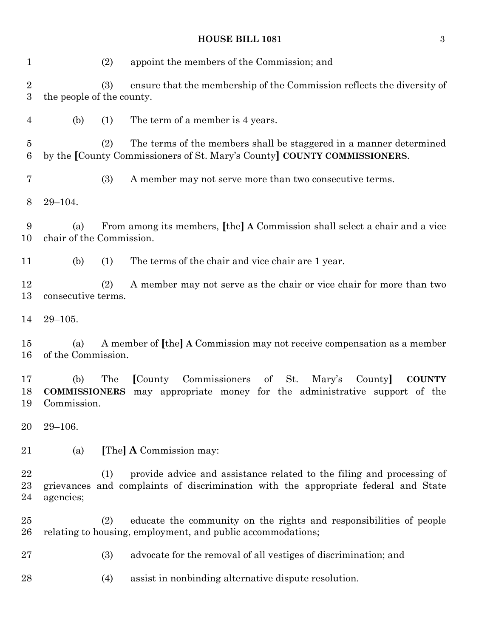| $\mathbf{1}$                       | (2)<br>appoint the members of the Commission; and                                                                                                                               |                                   |  |  |
|------------------------------------|---------------------------------------------------------------------------------------------------------------------------------------------------------------------------------|-----------------------------------|--|--|
| $\sqrt{2}$<br>$\boldsymbol{3}$     | ensure that the membership of the Commission reflects the diversity of<br>(3)<br>the people of the county.                                                                      |                                   |  |  |
| $\overline{4}$                     | The term of a member is 4 years.<br>(b)<br>(1)                                                                                                                                  |                                   |  |  |
| $\overline{5}$<br>$\boldsymbol{6}$ | (2)<br>The terms of the members shall be staggered in a manner determined<br>by the [County Commissioners of St. Mary's County] COUNTY COMMISSIONERS.                           |                                   |  |  |
| $\overline{7}$                     | (3)<br>A member may not serve more than two consecutive terms.                                                                                                                  |                                   |  |  |
| 8                                  | $29 - 104.$                                                                                                                                                                     |                                   |  |  |
| 9<br>10                            | From among its members, [the] A Commission shall select a chair and a vice<br>(a)<br>chair of the Commission.                                                                   |                                   |  |  |
| 11                                 | The terms of the chair and vice chair are 1 year.<br>(b)<br>(1)                                                                                                                 |                                   |  |  |
| 12<br>13                           | A member may not serve as the chair or vice chair for more than two<br>(2)<br>consecutive terms.                                                                                |                                   |  |  |
| 14                                 | $29 - 105.$                                                                                                                                                                     |                                   |  |  |
| 15<br>16                           | A member of [the] A Commission may not receive compensation as a member<br>(a)<br>of the Commission.                                                                            |                                   |  |  |
| 17<br>18<br>19                     | St.<br>Commissioners<br>of<br>(b)<br>The<br>[County]<br>may appropriate money for the administrative support of the<br><b>COMMISSIONERS</b><br>Commission.                      | Mary's<br>County<br><b>COUNTY</b> |  |  |
| 20                                 | $29 - 106.$                                                                                                                                                                     |                                   |  |  |
| 21                                 | [The] A Commission may:<br>(a)                                                                                                                                                  |                                   |  |  |
| 22<br>23<br>24                     | provide advice and assistance related to the filing and processing of<br>(1)<br>grievances and complaints of discrimination with the appropriate federal and State<br>agencies; |                                   |  |  |
| 25<br>26                           | (2)<br>educate the community on the rights and responsibilities of people<br>relating to housing, employment, and public accommodations;                                        |                                   |  |  |
| 27                                 | (3)<br>advocate for the removal of all vestiges of discrimination; and                                                                                                          |                                   |  |  |
| 28                                 | assist in nonbinding alternative dispute resolution.<br>(4)                                                                                                                     |                                   |  |  |
|                                    |                                                                                                                                                                                 |                                   |  |  |

### **HOUSE BILL 1081** 3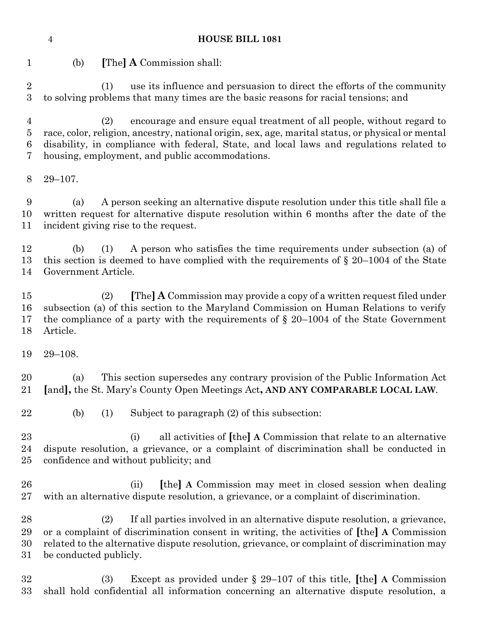#### **HOUSE BILL 1081**

(b) **[**The**] A** Commission shall:

 (1) use its influence and persuasion to direct the efforts of the community to solving problems that many times are the basic reasons for racial tensions; and

 (2) encourage and ensure equal treatment of all people, without regard to race, color, religion, ancestry, national origin, sex, age, marital status, or physical or mental disability, in compliance with federal, State, and local laws and regulations related to housing, employment, and public accommodations.

29–107.

 (a) A person seeking an alternative dispute resolution under this title shall file a written request for alternative dispute resolution within 6 months after the date of the incident giving rise to the request.

 (b) (1) A person who satisfies the time requirements under subsection (a) of this section is deemed to have complied with the requirements of § 20–1004 of the State Government Article.

 (2) **[**The**] A** Commission may provide a copy of a written request filed under subsection (a) of this section to the Maryland Commission on Human Relations to verify the compliance of a party with the requirements of § 20–1004 of the State Government Article.

29–108.

 (a) This section supersedes any contrary provision of the Public Information Act **[**and**],** the St. Mary's County Open Meetings Act**, AND ANY COMPARABLE LOCAL LAW**.

(b) (1) Subject to paragraph (2) of this subsection:

 (i) all activities of **[**the**] A** Commission that relate to an alternative dispute resolution, a grievance, or a complaint of discrimination shall be conducted in confidence and without publicity; and

 (ii) **[**the**] A** Commission may meet in closed session when dealing with an alternative dispute resolution, a grievance, or a complaint of discrimination.

 (2) If all parties involved in an alternative dispute resolution, a grievance, or a complaint of discrimination consent in writing, the activities of **[**the**] A** Commission related to the alternative dispute resolution, grievance, or complaint of discrimination may be conducted publicly.

 (3) Except as provided under § 29–107 of this title, **[**the**] A** Commission shall hold confidential all information concerning an alternative dispute resolution, a